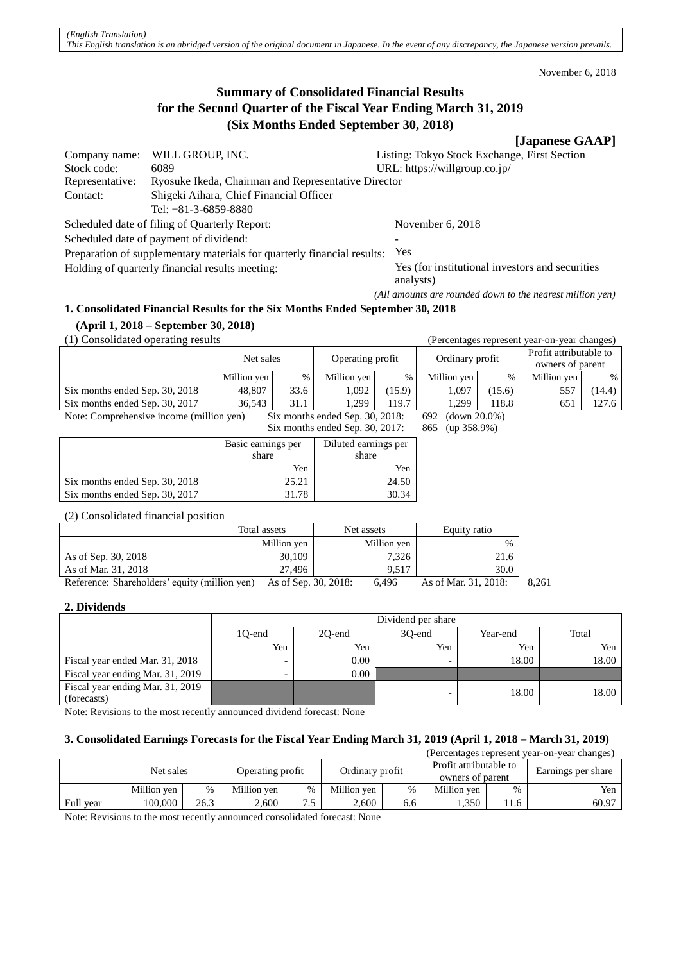November 6, 2018

# **Summary of Consolidated Financial Results for the Second Quarter of the Fiscal Year Ending March 31, 2019 (Six Months Ended September 30, 2018)**

# **[Japanese GAAP]**

| Company name:                                                           | WILL GROUP, INC.                                    | Listing: Tokyo Stock Exchange, First Section     |  |  |
|-------------------------------------------------------------------------|-----------------------------------------------------|--------------------------------------------------|--|--|
| Stock code:                                                             | 6089                                                | URL: https://willgroup.co.jp/                    |  |  |
| Representative:                                                         | Ryosuke Ikeda, Chairman and Representative Director |                                                  |  |  |
| Contact:                                                                | Shigeki Aihara, Chief Financial Officer             |                                                  |  |  |
|                                                                         | Tel: $+81-3-6859-8880$                              |                                                  |  |  |
| Scheduled date of filing of Quarterly Report:                           |                                                     | November $6, 2018$                               |  |  |
| Scheduled date of payment of dividend:                                  |                                                     |                                                  |  |  |
| Preparation of supplementary materials for quarterly financial results: |                                                     | Yes                                              |  |  |
| Holding of quarterly financial results meeting:                         |                                                     | Yes (for institutional investors and securities) |  |  |
|                                                                         |                                                     | analysts)                                        |  |  |

*(All amounts are rounded down to the nearest million yen)*

## **1. Consolidated Financial Results for the Six Months Ended September 30, 2018**

**(April 1, 2018 – September 30, 2018)**

(1) Consolidated operating results (Percentages represent year-on-year changes)

|                                          | Net sales   |      | Operating profit                |        | Ordinary profit  |        | Profit attributable to |        |
|------------------------------------------|-------------|------|---------------------------------|--------|------------------|--------|------------------------|--------|
|                                          |             |      |                                 |        |                  |        | owners of parent       |        |
|                                          | Million yen | %    | Million yen                     | $\%$   | Million yen      | %      | Million yen            | $\%$   |
| Six months ended Sep. 30, 2018           | 48,807      | 33.6 | 1.092                           | (15.9) | 1.097            | (15.6) | 557                    | (14.4) |
| Six months ended Sep. 30, 2017           | 36.543      | 31.1 | 1.299                           | 119.7  | 1.299            | 118.8  | 651                    | 127.6  |
| Note: Comprehensive income (million yen) |             |      | Six months ended Sep. 30, 2018: |        | 692 (down 20.0%) |        |                        |        |
|                                          |             |      | Six months ended Sep. 30, 2017: |        | 865 (up 358.9%)  |        |                        |        |

|                                | Basic earnings per<br>share | Diluted earnings per<br>share |
|--------------------------------|-----------------------------|-------------------------------|
|                                | Yen                         | Yen                           |
| Six months ended Sep. 30, 2018 | 25.21                       | 24.50                         |
| Six months ended Sep. 30, 2017 | 31.78                       | 30.34                         |

(2) Consolidated financial position

|                                               | Total assets         | Net assets  | Equity ratio         |       |
|-----------------------------------------------|----------------------|-------------|----------------------|-------|
|                                               | Million yen          | Million yen | $\%$                 |       |
| As of Sep. 30, 2018                           | 30,109               | 7,326       | 21.6                 |       |
| As of Mar. 31, 2018                           | 27.496               | 9.517       | 30.0                 |       |
| Reference: Shareholders' equity (million yen) | As of Sep. 30, 2018: | 6.496       | As of Mar. 31, 2018: | 8.261 |

## **2. Dividends**

|                                                 |        | Dividend per share                    |     |       |       |  |  |  |
|-------------------------------------------------|--------|---------------------------------------|-----|-------|-------|--|--|--|
|                                                 | 10-end | Total<br>30-end<br>20-end<br>Year-end |     |       |       |  |  |  |
|                                                 | Yen    | Yen                                   | Yen | Yen   | Yen   |  |  |  |
| Fiscal year ended Mar. 31, 2018                 | -      | $0.00\,$                              |     | 18.00 | 18.00 |  |  |  |
| Fiscal year ending Mar. 31, 2019                |        | 0.00                                  |     |       |       |  |  |  |
| Fiscal year ending Mar. 31, 2019<br>(forecasts) |        |                                       |     | 18.00 | 18.00 |  |  |  |

Note: Revisions to the most recently announced dividend forecast: None

# **3. Consolidated Earnings Forecasts for the Fiscal Year Ending March 31, 2019 (April 1, 2018 – March 31, 2019)**

| (Percentages represent year-on-year changes) |             |      |                                     |           |                                            |     |                    |      |       |
|----------------------------------------------|-------------|------|-------------------------------------|-----------|--------------------------------------------|-----|--------------------|------|-------|
|                                              | Net sales   |      | Ordinary profit<br>Operating profit |           | Profit attributable to<br>owners of parent |     | Earnings per share |      |       |
|                                              | Million yen | %    | Million yen                         | $\%$      | Million yen                                | %   | Million yen        | $\%$ | Yen   |
| Full year                                    | 100.000     | 26.3 | 2.600                               | 75<br>ر., | 2.600                                      | 6.6 | 1.350              | 11.6 | 60.97 |

Note: Revisions to the most recently announced consolidated forecast: None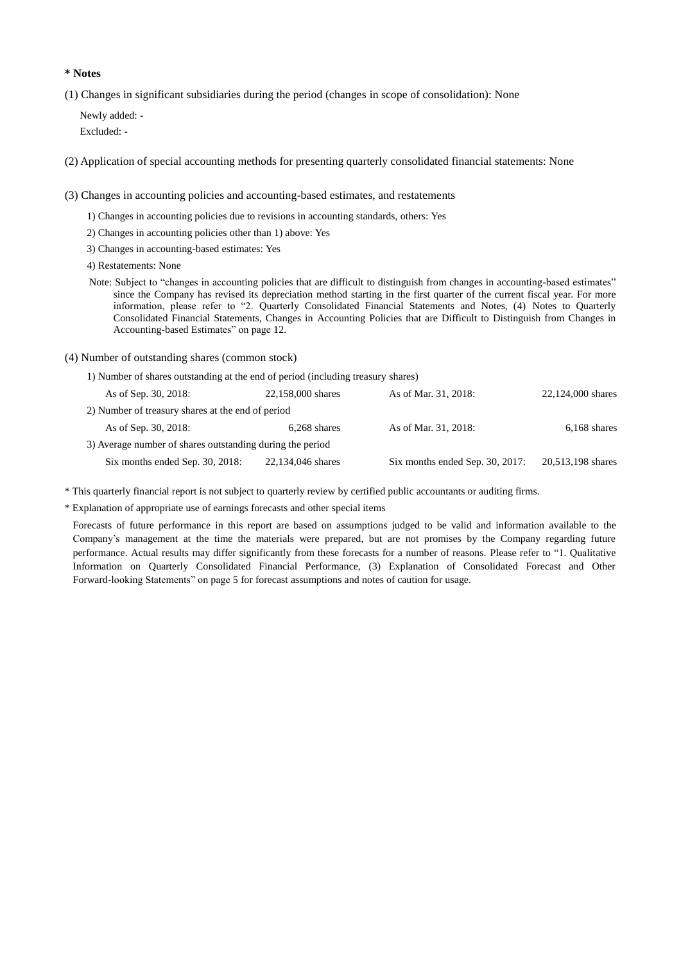### **\* Notes**

(1) Changes in significant subsidiaries during the period (changes in scope of consolidation): None

Newly added: - Excluded: -

(2) Application of special accounting methods for presenting quarterly consolidated financial statements: None

(3) Changes in accounting policies and accounting-based estimates, and restatements

- 1) Changes in accounting policies due to revisions in accounting standards, others: Yes
- 2) Changes in accounting policies other than 1) above: Yes
- 3) Changes in accounting-based estimates: Yes
- 4) Restatements: None
- Note: Subject to "changes in accounting policies that are difficult to distinguish from changes in accounting-based estimates" since the Company has revised its depreciation method starting in the first quarter of the current fiscal year. For more information, please refer to "2. Quarterly Consolidated Financial Statements and Notes, (4) Notes to Quarterly Consolidated Financial Statements, Changes in Accounting Policies that are Difficult to Distinguish from Changes in Accounting-based Estimates" on page 12.
- (4) Number of outstanding shares (common stock)
	- 1) Number of shares outstanding at the end of period (including treasury shares)

| As of Sep. 30, 2018:                                      | 22,158,000 shares | As of Mar. 31, 2018:            | 22,124,000 shares |
|-----------------------------------------------------------|-------------------|---------------------------------|-------------------|
| 2) Number of treasury shares at the end of period         |                   |                                 |                   |
| As of Sep. 30, 2018:                                      | $6,268$ shares    | As of Mar. 31, 2018:            | $6,168$ shares    |
| 3) Average number of shares outstanding during the period |                   |                                 |                   |
| Six months ended Sep. 30, 2018:                           | 22,134,046 shares | Six months ended Sep. 30, 2017: | 20,513,198 shares |

\* This quarterly financial report is not subject to quarterly review by certified public accountants or auditing firms.

\* Explanation of appropriate use of earnings forecasts and other special items

Forecasts of future performance in this report are based on assumptions judged to be valid and information available to the Company's management at the time the materials were prepared, but are not promises by the Company regarding future performance. Actual results may differ significantly from these forecasts for a number of reasons. Please refer to "1. Qualitative Information on Quarterly Consolidated Financial Performance, (3) Explanation of Consolidated Forecast and Other Forward-looking Statements" on page 5 for forecast assumptions and notes of caution for usage.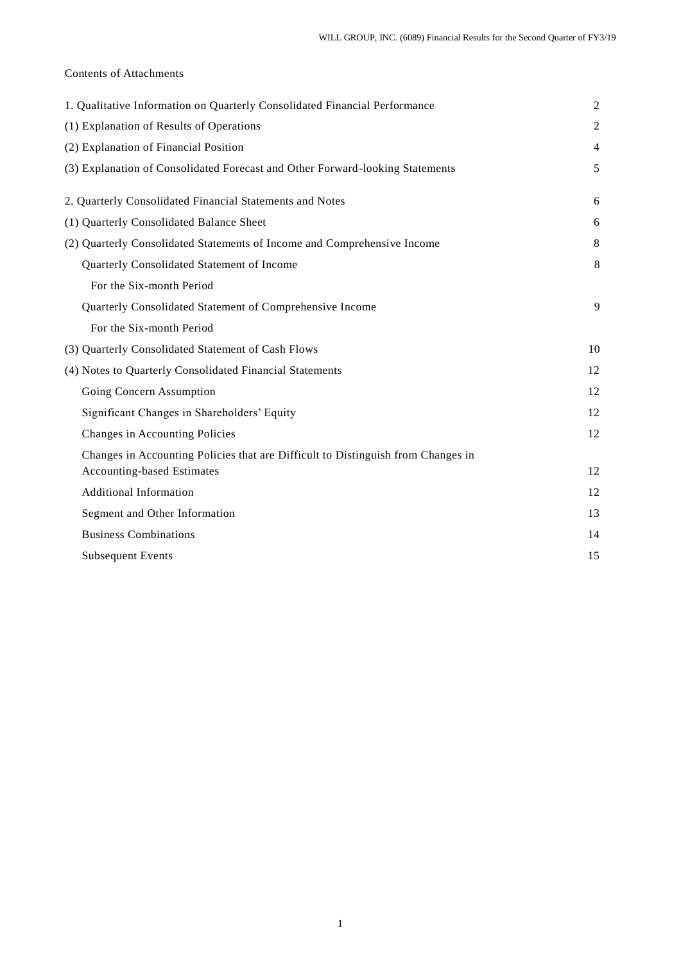# Contents of Attachments

| 1. Qualitative Information on Quarterly Consolidated Financial Performance       | $\overline{2}$ |
|----------------------------------------------------------------------------------|----------------|
| (1) Explanation of Results of Operations                                         | $\overline{c}$ |
| (2) Explanation of Financial Position                                            | $\overline{4}$ |
| (3) Explanation of Consolidated Forecast and Other Forward-looking Statements    | 5              |
| 2. Quarterly Consolidated Financial Statements and Notes                         | 6              |
| (1) Quarterly Consolidated Balance Sheet                                         | 6              |
| (2) Quarterly Consolidated Statements of Income and Comprehensive Income         | 8              |
| Quarterly Consolidated Statement of Income                                       | 8              |
| For the Six-month Period                                                         |                |
| Quarterly Consolidated Statement of Comprehensive Income                         | 9              |
| For the Six-month Period                                                         |                |
| (3) Quarterly Consolidated Statement of Cash Flows                               | 10             |
| (4) Notes to Quarterly Consolidated Financial Statements                         | 12             |
| Going Concern Assumption                                                         | 12             |
| Significant Changes in Shareholders' Equity                                      | 12             |
| Changes in Accounting Policies                                                   | 12             |
| Changes in Accounting Policies that are Difficult to Distinguish from Changes in |                |
| <b>Accounting-based Estimates</b>                                                | 12             |
| <b>Additional Information</b>                                                    | 12             |
| Segment and Other Information                                                    | 13             |
| <b>Business Combinations</b>                                                     | 14             |
| <b>Subsequent Events</b>                                                         | 15             |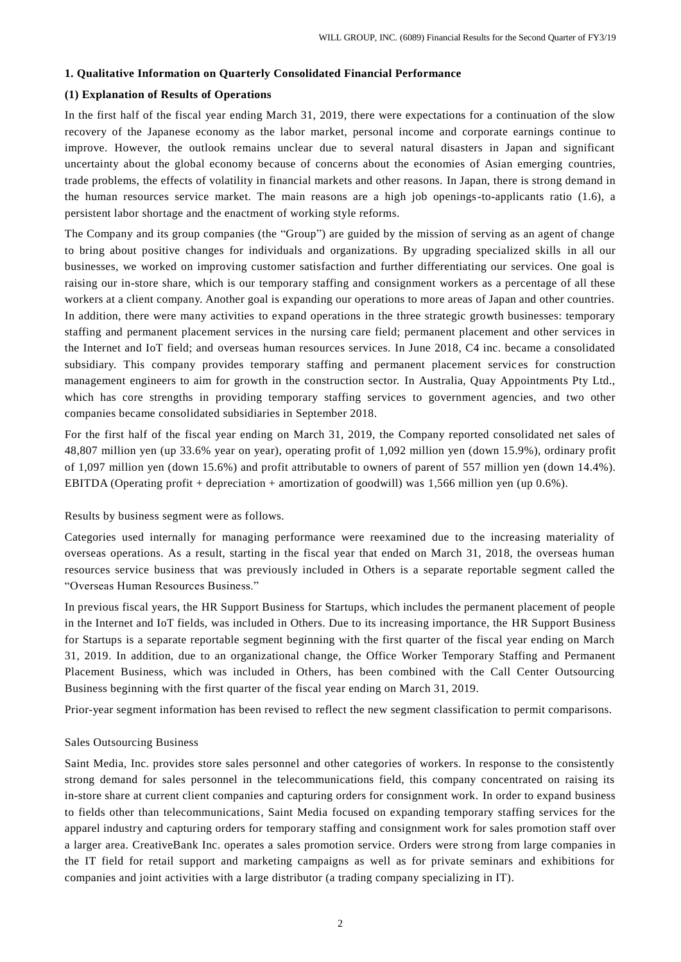#### **1. Qualitative Information on Quarterly Consolidated Financial Performance**

### **(1) Explanation of Results of Operations**

In the first half of the fiscal year ending March 31, 2019, there were expectations for a continuation of the slow recovery of the Japanese economy as the labor market, personal income and corporate earnings continue to improve. However, the outlook remains unclear due to several natural disasters in Japan and significant uncertainty about the global economy because of concerns about the economies of Asian emerging countries, trade problems, the effects of volatility in financial markets and other reasons. In Japan, there is strong demand in the human resources service market. The main reasons are a high job openings-to-applicants ratio (1.6), a persistent labor shortage and the enactment of working style reforms.

The Company and its group companies (the "Group") are guided by the mission of serving as an agent of change to bring about positive changes for individuals and organizations. By upgrading specialized skills in all our businesses, we worked on improving customer satisfaction and further differentiating our services. One goal is raising our in-store share, which is our temporary staffing and consignment workers as a percentage of all these workers at a client company. Another goal is expanding our operations to more areas of Japan and other countries. In addition, there were many activities to expand operations in the three strategic growth businesses: temporary staffing and permanent placement services in the nursing care field; permanent placement and other services in the Internet and IoT field; and overseas human resources services. In June 2018, C4 inc. became a consolidated subsidiary. This company provides temporary staffing and permanent placement services for construction management engineers to aim for growth in the construction sector. In Australia, Quay Appointments Pty Ltd., which has core strengths in providing temporary staffing services to government agencies, and two other companies became consolidated subsidiaries in September 2018.

For the first half of the fiscal year ending on March 31, 2019, the Company reported consolidated net sales of 48,807 million yen (up 33.6% year on year), operating profit of 1,092 million yen (down 15.9%), ordinary profit of 1,097 million yen (down 15.6%) and profit attributable to owners of parent of 557 million yen (down 14.4%). EBITDA (Operating profit + depreciation + amortization of goodwill) was 1,566 million yen (up 0.6%).

#### Results by business segment were as follows.

Categories used internally for managing performance were reexamined due to the increasing materiality of overseas operations. As a result, starting in the fiscal year that ended on March 31, 2018, the overseas human resources service business that was previously included in Others is a separate reportable segment called the "Overseas Human Resources Business."

In previous fiscal years, the HR Support Business for Startups, which includes the permanent placement of people in the Internet and IoT fields, was included in Others. Due to its increasing importance, the HR Support Business for Startups is a separate reportable segment beginning with the first quarter of the fiscal year ending on March 31, 2019. In addition, due to an organizational change, the Office Worker Temporary Staffing and Permanent Placement Business, which was included in Others, has been combined with the Call Center Outsourcing Business beginning with the first quarter of the fiscal year ending on March 31, 2019.

Prior-year segment information has been revised to reflect the new segment classification to permit comparisons.

#### Sales Outsourcing Business

Saint Media, Inc. provides store sales personnel and other categories of workers. In response to the consistently strong demand for sales personnel in the telecommunications field, this company concentrated on raising its in-store share at current client companies and capturing orders for consignment work. In order to expand business to fields other than telecommunications, Saint Media focused on expanding temporary staffing services for the apparel industry and capturing orders for temporary staffing and consignment work for sales promotion staff over a larger area. CreativeBank Inc. operates a sales promotion service. Orders were strong from large companies in the IT field for retail support and marketing campaigns as well as for private seminars and exhibitions for companies and joint activities with a large distributor (a trading company specializing in IT).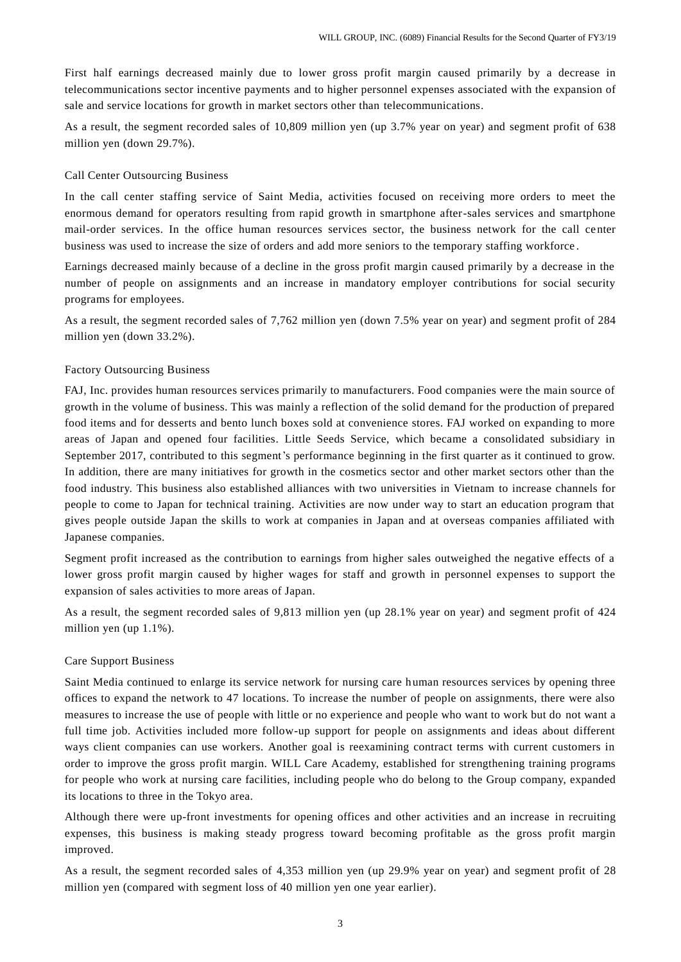First half earnings decreased mainly due to lower gross profit margin caused primarily by a decrease in telecommunications sector incentive payments and to higher personnel expenses associated with the expansion of sale and service locations for growth in market sectors other than telecommunications.

As a result, the segment recorded sales of 10,809 million yen (up 3.7% year on year) and segment profit of 638 million yen (down 29.7%).

#### Call Center Outsourcing Business

In the call center staffing service of Saint Media, activities focused on receiving more orders to meet the enormous demand for operators resulting from rapid growth in smartphone after-sales services and smartphone mail-order services. In the office human resources services sector, the business network for the call ce nter business was used to increase the size of orders and add more seniors to the temporary staffing workforce .

Earnings decreased mainly because of a decline in the gross profit margin caused primarily by a decrease in the number of people on assignments and an increase in mandatory employer contributions for social security programs for employees.

As a result, the segment recorded sales of 7,762 million yen (down 7.5% year on year) and segment profit of 284 million yen (down 33.2%).

#### Factory Outsourcing Business

FAJ, Inc. provides human resources services primarily to manufacturers. Food companies were the main source of growth in the volume of business. This was mainly a reflection of the solid demand for the production of prepared food items and for desserts and bento lunch boxes sold at convenience stores. FAJ worked on expanding to more areas of Japan and opened four facilities. Little Seeds Service, which became a consolidated subsidiary in September 2017, contributed to this segment's performance beginning in the first quarter as it continued to grow. In addition, there are many initiatives for growth in the cosmetics sector and other market sectors other than the food industry. This business also established alliances with two universities in Vietnam to increase channels for people to come to Japan for technical training. Activities are now under way to start an education program that gives people outside Japan the skills to work at companies in Japan and at overseas companies affiliated with Japanese companies.

Segment profit increased as the contribution to earnings from higher sales outweighed the negative effects of a lower gross profit margin caused by higher wages for staff and growth in personnel expenses to support the expansion of sales activities to more areas of Japan.

As a result, the segment recorded sales of 9,813 million yen (up 28.1% year on year) and segment profit of 424 million yen (up 1.1%).

#### Care Support Business

Saint Media continued to enlarge its service network for nursing care human resources services by opening three offices to expand the network to 47 locations. To increase the number of people on assignments, there were also measures to increase the use of people with little or no experience and people who want to work but do not want a full time job. Activities included more follow-up support for people on assignments and ideas about different ways client companies can use workers. Another goal is reexamining contract terms with current customers in order to improve the gross profit margin. WILL Care Academy, established for strengthening training programs for people who work at nursing care facilities, including people who do belong to the Group company, expanded its locations to three in the Tokyo area.

Although there were up-front investments for opening offices and other activities and an increase in recruiting expenses, this business is making steady progress toward becoming profitable as the gross profit margin improved.

As a result, the segment recorded sales of 4,353 million yen (up 29.9% year on year) and segment profit of 28 million yen (compared with segment loss of 40 million yen one year earlier).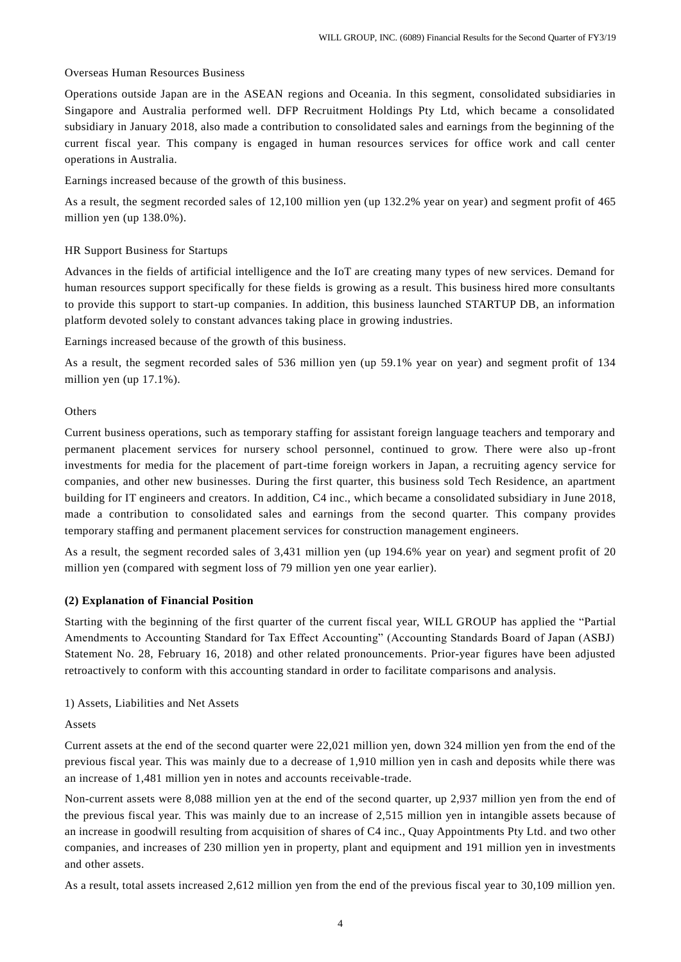### Overseas Human Resources Business

Operations outside Japan are in the ASEAN regions and Oceania. In this segment, consolidated subsidiaries in Singapore and Australia performed well. DFP Recruitment Holdings Pty Ltd, which became a consolidated subsidiary in January 2018, also made a contribution to consolidated sales and earnings from the beginning of the current fiscal year. This company is engaged in human resources services for office work and call center operations in Australia.

Earnings increased because of the growth of this business.

As a result, the segment recorded sales of 12,100 million yen (up 132.2% year on year) and segment profit of 465 million yen (up 138.0%).

#### HR Support Business for Startups

Advances in the fields of artificial intelligence and the IoT are creating many types of new services. Demand for human resources support specifically for these fields is growing as a result. This business hired more consultants to provide this support to start-up companies. In addition, this business launched STARTUP DB, an information platform devoted solely to constant advances taking place in growing industries.

Earnings increased because of the growth of this business.

As a result, the segment recorded sales of 536 million yen (up 59.1% year on year) and segment profit of 134 million yen (up 17.1%).

### **Others**

Current business operations, such as temporary staffing for assistant foreign language teachers and temporary and permanent placement services for nursery school personnel, continued to grow. There were also up -front investments for media for the placement of part-time foreign workers in Japan, a recruiting agency service for companies, and other new businesses. During the first quarter, this business sold Tech Residence, an apartment building for IT engineers and creators. In addition, C4 inc., which became a consolidated subsidiary in June 2018, made a contribution to consolidated sales and earnings from the second quarter. This company provides temporary staffing and permanent placement services for construction management engineers.

As a result, the segment recorded sales of 3,431 million yen (up 194.6% year on year) and segment profit of 20 million yen (compared with segment loss of 79 million yen one year earlier).

#### **(2) Explanation of Financial Position**

Starting with the beginning of the first quarter of the current fiscal year, WILL GROUP has applied the "Partial Amendments to Accounting Standard for Tax Effect Accounting" (Accounting Standards Board of Japan (ASBJ) Statement No. 28, February 16, 2018) and other related pronouncements. Prior-year figures have been adjusted retroactively to conform with this accounting standard in order to facilitate comparisons and analysis.

### 1) Assets, Liabilities and Net Assets

Assets

Current assets at the end of the second quarter were 22,021 million yen, down 324 million yen from the end of the previous fiscal year. This was mainly due to a decrease of 1,910 million yen in cash and deposits while there was an increase of 1,481 million yen in notes and accounts receivable-trade.

Non-current assets were 8,088 million yen at the end of the second quarter, up 2,937 million yen from the end of the previous fiscal year. This was mainly due to an increase of 2,515 million yen in intangible assets because of an increase in goodwill resulting from acquisition of shares of C4 inc., Quay Appointments Pty Ltd. and two other companies, and increases of 230 million yen in property, plant and equipment and 191 million yen in investments and other assets.

As a result, total assets increased 2,612 million yen from the end of the previous fiscal year to 30,109 million yen.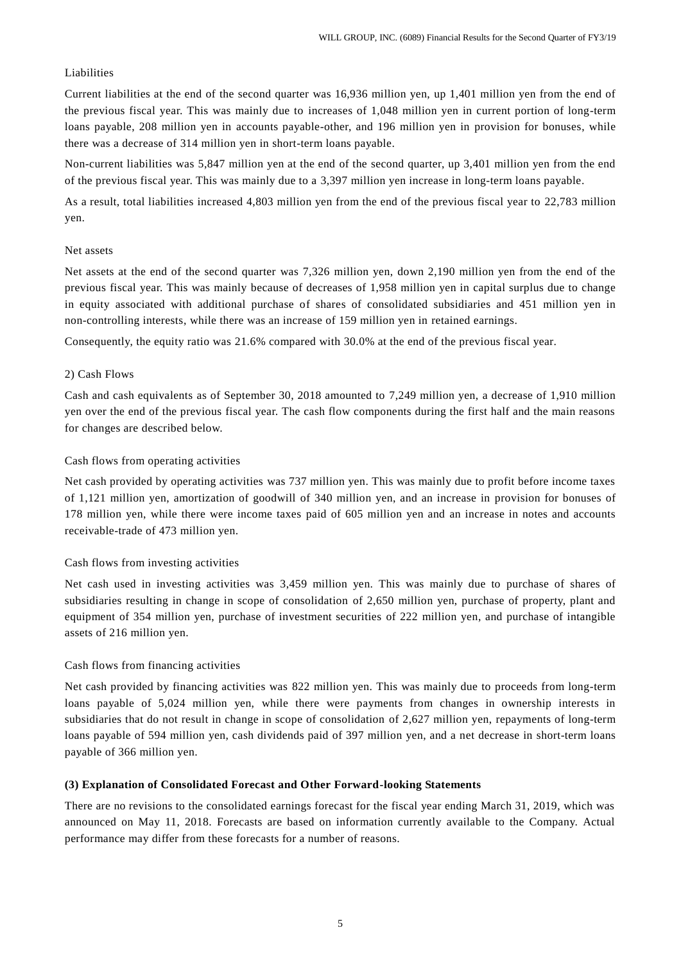## Liabilities

Current liabilities at the end of the second quarter was 16,936 million yen, up 1,401 million yen from the end of the previous fiscal year. This was mainly due to increases of 1,048 million yen in current portion of long-term loans payable, 208 million yen in accounts payable-other, and 196 million yen in provision for bonuses, while there was a decrease of 314 million yen in short-term loans payable.

Non-current liabilities was 5,847 million yen at the end of the second quarter, up 3,401 million yen from the end of the previous fiscal year. This was mainly due to a 3,397 million yen increase in long-term loans payable.

As a result, total liabilities increased 4,803 million yen from the end of the previous fiscal year to 22,783 million yen.

## Net assets

Net assets at the end of the second quarter was 7,326 million yen, down 2,190 million yen from the end of the previous fiscal year. This was mainly because of decreases of 1,958 million yen in capital surplus due to change in equity associated with additional purchase of shares of consolidated subsidiaries and 451 million yen in non-controlling interests, while there was an increase of 159 million yen in retained earnings.

Consequently, the equity ratio was 21.6% compared with 30.0% at the end of the previous fiscal year.

## 2) Cash Flows

Cash and cash equivalents as of September 30, 2018 amounted to 7,249 million yen, a decrease of 1,910 million yen over the end of the previous fiscal year. The cash flow components during the first half and the main reasons for changes are described below.

## Cash flows from operating activities

Net cash provided by operating activities was 737 million yen. This was mainly due to profit before income taxes of 1,121 million yen, amortization of goodwill of 340 million yen, and an increase in provision for bonuses of 178 million yen, while there were income taxes paid of 605 million yen and an increase in notes and accounts receivable-trade of 473 million yen.

## Cash flows from investing activities

Net cash used in investing activities was 3,459 million yen. This was mainly due to purchase of shares of subsidiaries resulting in change in scope of consolidation of 2,650 million yen, purchase of property, plant and equipment of 354 million yen, purchase of investment securities of 222 million yen, and purchase of intangible assets of 216 million yen.

#### Cash flows from financing activities

Net cash provided by financing activities was 822 million yen. This was mainly due to proceeds from long-term loans payable of 5,024 million yen, while there were payments from changes in ownership interests in subsidiaries that do not result in change in scope of consolidation of 2,627 million yen, repayments of long-term loans payable of 594 million yen, cash dividends paid of 397 million yen, and a net decrease in short-term loans payable of 366 million yen.

### **(3) Explanation of Consolidated Forecast and Other Forward-looking Statements**

There are no revisions to the consolidated earnings forecast for the fiscal year ending March 31, 2019, which was announced on May 11, 2018. Forecasts are based on information currently available to the Company. Actual performance may differ from these forecasts for a number of reasons.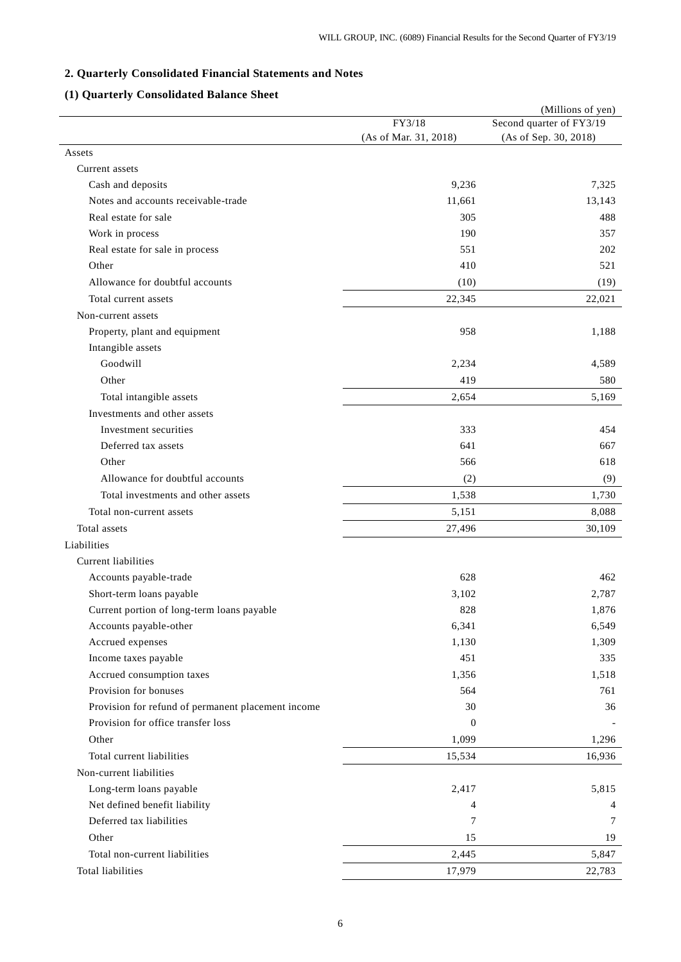# **2. Quarterly Consolidated Financial Statements and Notes**

# **(1) Quarterly Consolidated Balance Sheet**

|                                                    |                       | (Millions of yen)        |
|----------------------------------------------------|-----------------------|--------------------------|
|                                                    | FY3/18                | Second quarter of FY3/19 |
|                                                    | (As of Mar. 31, 2018) | (As of Sep. 30, 2018)    |
| Assets                                             |                       |                          |
| Current assets                                     |                       |                          |
| Cash and deposits                                  | 9,236                 | 7,325                    |
| Notes and accounts receivable-trade                | 11,661                | 13,143                   |
| Real estate for sale                               | 305                   | 488                      |
| Work in process                                    | 190                   | 357                      |
| Real estate for sale in process                    | 551                   | 202                      |
| Other                                              | 410                   | 521                      |
| Allowance for doubtful accounts                    | (10)                  | (19)                     |
| Total current assets                               | 22,345                | 22,021                   |
| Non-current assets                                 |                       |                          |
| Property, plant and equipment                      | 958                   | 1,188                    |
| Intangible assets                                  |                       |                          |
| Goodwill                                           | 2,234                 | 4,589                    |
| Other                                              | 419                   | 580                      |
| Total intangible assets                            | 2,654                 | 5,169                    |
| Investments and other assets                       |                       |                          |
| Investment securities                              | 333                   | 454                      |
| Deferred tax assets                                | 641                   | 667                      |
| Other                                              | 566                   | 618                      |
| Allowance for doubtful accounts                    | (2)                   | (9)                      |
| Total investments and other assets                 | 1,538                 | 1,730                    |
| Total non-current assets                           | 5,151                 | 8,088                    |
| Total assets                                       | 27,496                | 30,109                   |
| Liabilities                                        |                       |                          |
| Current liabilities                                |                       |                          |
| Accounts payable-trade                             | 628                   | 462                      |
| Short-term loans payable                           | 3,102                 | 2,787                    |
| Current portion of long-term loans payable         | 828                   | 1,876                    |
| Accounts payable-other                             | 6,341                 | 6,549                    |
| Accrued expenses                                   | 1,130                 | 1,309                    |
| Income taxes payable                               | 451                   | 335                      |
| Accrued consumption taxes                          | 1,356                 | 1,518                    |
| Provision for bonuses                              | 564                   | 761                      |
| Provision for refund of permanent placement income | 30                    | 36                       |
| Provision for office transfer loss                 | $\mathbf{0}$          |                          |
| Other                                              | 1,099                 | 1,296                    |
| Total current liabilities                          | 15,534                | 16,936                   |
| Non-current liabilities                            |                       |                          |
| Long-term loans payable                            | 2,417                 | 5,815                    |
| Net defined benefit liability                      | 4                     | 4                        |
| Deferred tax liabilities                           | 7                     | 7                        |
| Other                                              | 15                    | 19                       |
| Total non-current liabilities                      | 2,445                 | 5,847                    |
| Total liabilities                                  | 17,979                | 22,783                   |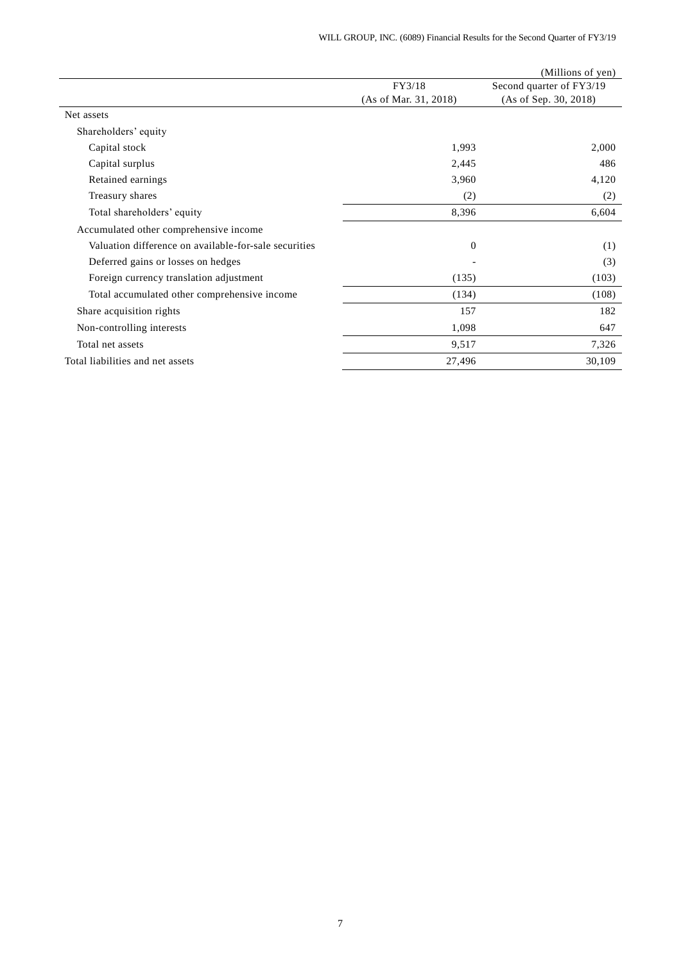|                                                       |                       | (Millions of yen)        |
|-------------------------------------------------------|-----------------------|--------------------------|
|                                                       | FY3/18                | Second quarter of FY3/19 |
|                                                       | (As of Mar. 31, 2018) | (As of Sep. 30, 2018)    |
| Net assets                                            |                       |                          |
| Shareholders' equity                                  |                       |                          |
| Capital stock                                         | 1,993                 | 2,000                    |
| Capital surplus                                       | 2,445                 | 486                      |
| Retained earnings                                     | 3,960                 | 4,120                    |
| Treasury shares                                       | (2)                   | (2)                      |
| Total shareholders' equity                            | 8,396                 | 6,604                    |
| Accumulated other comprehensive income                |                       |                          |
| Valuation difference on available-for-sale securities | $\Omega$              | (1)                      |
| Deferred gains or losses on hedges                    |                       | (3)                      |
| Foreign currency translation adjustment               | (135)                 | (103)                    |
| Total accumulated other comprehensive income          | (134)                 | (108)                    |
| Share acquisition rights                              | 157                   | 182                      |
| Non-controlling interests                             | 1,098                 | 647                      |
| Total net assets                                      | 9,517                 | 7,326                    |
| Total liabilities and net assets                      | 27,496                | 30,109                   |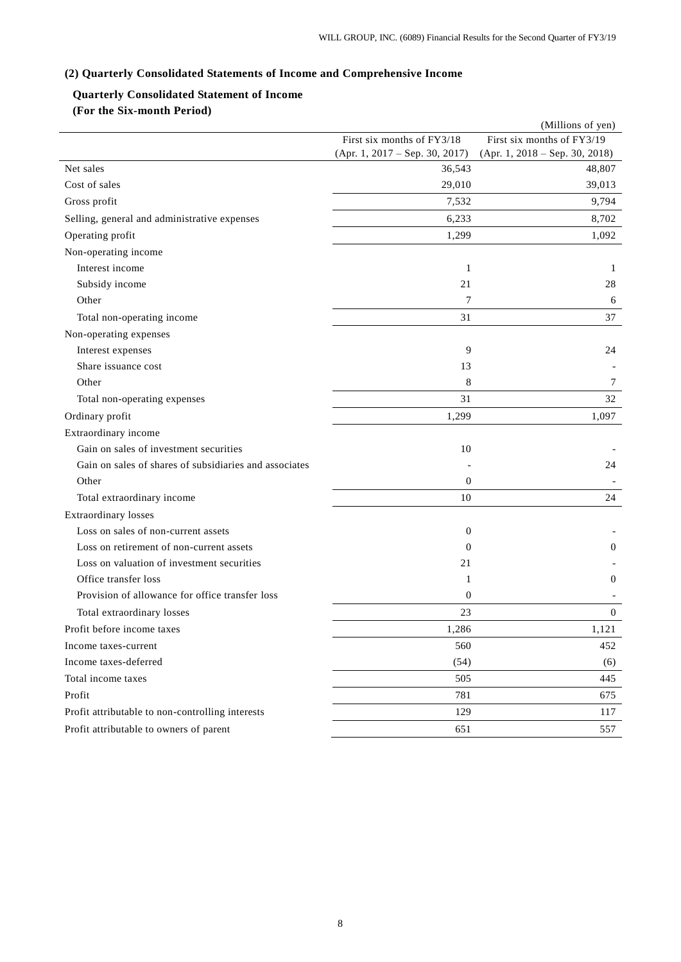# **(2) Quarterly Consolidated Statements of Income and Comprehensive Income**

# **Quarterly Consolidated Statement of Income (For the Six-month Period)**

|                                                        |                                  | (Millions of yen)                |
|--------------------------------------------------------|----------------------------------|----------------------------------|
|                                                        | First six months of FY3/18       | First six months of FY3/19       |
|                                                        | $(Apr. 1, 2017 - Sep. 30, 2017)$ | $(Apr. 1, 2018 - Sep. 30, 2018)$ |
| Net sales                                              | 36,543                           | 48,807                           |
| Cost of sales                                          | 29,010                           | 39,013                           |
| Gross profit                                           | 7,532                            | 9,794                            |
| Selling, general and administrative expenses           | 6,233                            | 8,702                            |
| Operating profit                                       | 1,299                            | 1,092                            |
| Non-operating income                                   |                                  |                                  |
| Interest income                                        | 1                                | 1                                |
| Subsidy income                                         | 21                               | 28                               |
| Other                                                  | 7                                | 6                                |
| Total non-operating income                             | 31                               | 37                               |
| Non-operating expenses                                 |                                  |                                  |
| Interest expenses                                      | 9                                | 24                               |
| Share issuance cost                                    | 13                               |                                  |
| Other                                                  | 8                                | 7                                |
| Total non-operating expenses                           | 31                               | 32                               |
| Ordinary profit                                        | 1,299                            | 1,097                            |
| Extraordinary income                                   |                                  |                                  |
| Gain on sales of investment securities                 | 10                               |                                  |
| Gain on sales of shares of subsidiaries and associates |                                  | 24                               |
| Other                                                  | $\boldsymbol{0}$                 |                                  |
| Total extraordinary income                             | 10                               | 24                               |
| <b>Extraordinary losses</b>                            |                                  |                                  |
| Loss on sales of non-current assets                    | $\boldsymbol{0}$                 |                                  |
| Loss on retirement of non-current assets               | $\theta$                         | $\overline{0}$                   |
| Loss on valuation of investment securities             | 21                               |                                  |
| Office transfer loss                                   | 1                                | 0                                |
| Provision of allowance for office transfer loss        | $\overline{0}$                   |                                  |
| Total extraordinary losses                             | 23                               | $\overline{0}$                   |
| Profit before income taxes                             | 1,286                            | 1,121                            |
| Income taxes-current                                   | 560                              | 452                              |
| Income taxes-deferred                                  | (54)                             | (6)                              |
| Total income taxes                                     | 505                              | 445                              |
| Profit                                                 | 781                              | 675                              |
| Profit attributable to non-controlling interests       | 129                              | 117                              |
| Profit attributable to owners of parent                | 651                              | 557                              |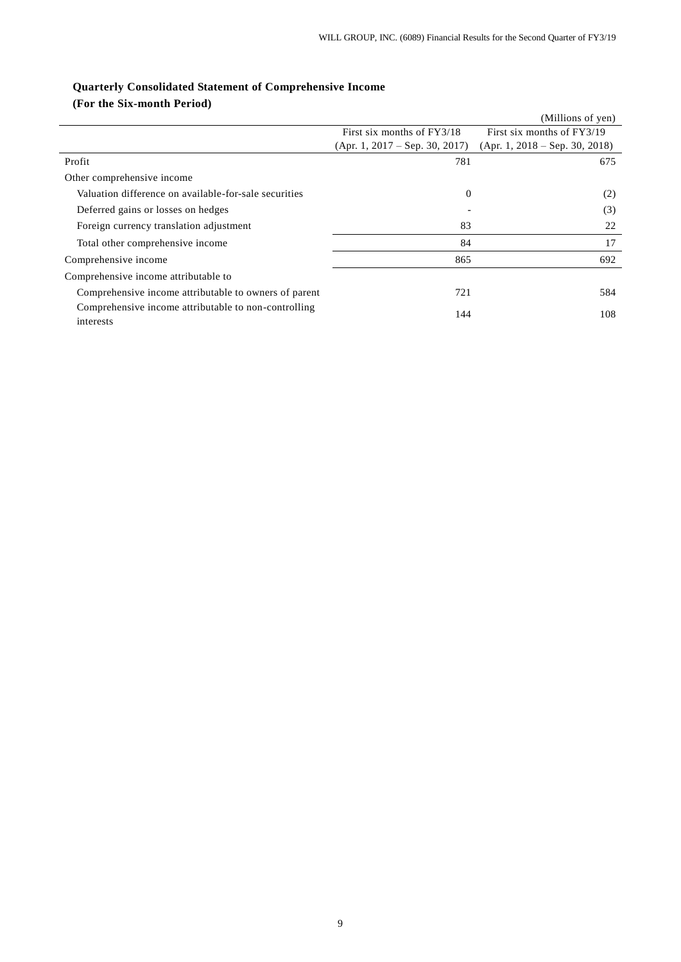# **Quarterly Consolidated Statement of Comprehensive Income**

**(For the Six-month Period)**

|                                                                   |                                  | (Millions of yen)                |
|-------------------------------------------------------------------|----------------------------------|----------------------------------|
|                                                                   | First six months of FY3/18       | First six months of FY3/19       |
|                                                                   | $(Apr. 1, 2017 - Sep. 30, 2017)$ | $(Apr. 1, 2018 - Sep. 30, 2018)$ |
| Profit                                                            | 781                              | 675                              |
| Other comprehensive income                                        |                                  |                                  |
| Valuation difference on available-for-sale securities             | $\theta$                         | (2)                              |
| Deferred gains or losses on hedges                                |                                  | (3)                              |
| Foreign currency translation adjustment                           | 83                               | 22                               |
| Total other comprehensive income                                  | 84                               | 17                               |
| Comprehensive income                                              | 865                              | 692                              |
| Comprehensive income attributable to                              |                                  |                                  |
| Comprehensive income attributable to owners of parent             | 721                              | 584                              |
| Comprehensive income attributable to non-controlling<br>interests | 144                              | 108                              |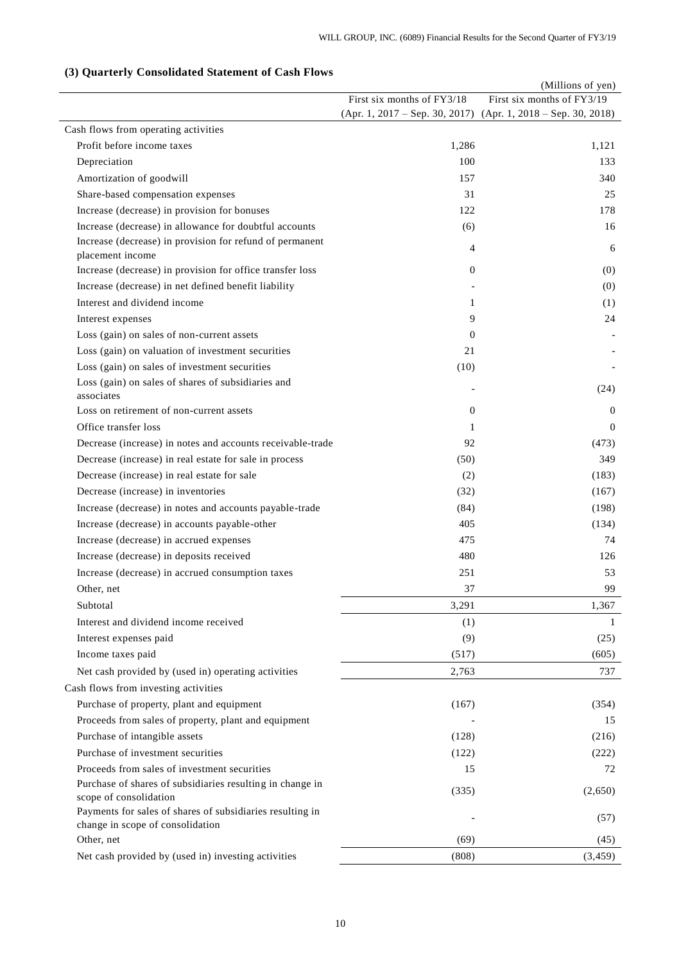# **(3) Quarterly Consolidated Statement of Cash Flows**

|                                                                                     |                            | (Millions of yen)                                             |
|-------------------------------------------------------------------------------------|----------------------------|---------------------------------------------------------------|
|                                                                                     | First six months of FY3/18 | First six months of FY3/19                                    |
|                                                                                     |                            | (Apr. 1, 2017 – Sep. 30, 2017) (Apr. 1, 2018 – Sep. 30, 2018) |
| Cash flows from operating activities                                                |                            |                                                               |
| Profit before income taxes                                                          | 1,286                      | 1,121                                                         |
| Depreciation                                                                        | 100                        | 133                                                           |
| Amortization of goodwill                                                            | 157                        | 340                                                           |
| Share-based compensation expenses                                                   | 31                         | 25                                                            |
| Increase (decrease) in provision for bonuses                                        | 122                        | 178                                                           |
| Increase (decrease) in allowance for doubtful accounts                              | (6)                        | 16                                                            |
| Increase (decrease) in provision for refund of permanent                            | 4                          | 6                                                             |
| placement income                                                                    |                            |                                                               |
| Increase (decrease) in provision for office transfer loss                           | $\theta$                   | (0)                                                           |
| Increase (decrease) in net defined benefit liability                                |                            | (0)                                                           |
| Interest and dividend income                                                        | 1                          | (1)                                                           |
| Interest expenses                                                                   | 9                          | 24                                                            |
| Loss (gain) on sales of non-current assets                                          | $\mathbf{0}$               |                                                               |
| Loss (gain) on valuation of investment securities                                   | 21                         |                                                               |
| Loss (gain) on sales of investment securities                                       | (10)                       |                                                               |
| Loss (gain) on sales of shares of subsidiaries and                                  |                            | (24)                                                          |
| associates                                                                          |                            |                                                               |
| Loss on retirement of non-current assets                                            | $\theta$                   | $\overline{0}$                                                |
| Office transfer loss                                                                | 1                          | $\Omega$                                                      |
| Decrease (increase) in notes and accounts receivable-trade                          | 92                         | (473)                                                         |
| Decrease (increase) in real estate for sale in process                              | (50)                       | 349                                                           |
| Decrease (increase) in real estate for sale                                         | (2)                        | (183)                                                         |
| Decrease (increase) in inventories                                                  | (32)                       | (167)                                                         |
| Increase (decrease) in notes and accounts payable-trade                             | (84)                       | (198)                                                         |
| Increase (decrease) in accounts payable-other                                       | 405                        | (134)                                                         |
| Increase (decrease) in accrued expenses                                             | 475                        | 74                                                            |
| Increase (decrease) in deposits received                                            | 480                        | 126                                                           |
| Increase (decrease) in accrued consumption taxes                                    | 251                        | 53                                                            |
| Other, net                                                                          | 37                         | 99                                                            |
| Subtotal                                                                            | 3,291                      | 1,367                                                         |
| Interest and dividend income received                                               | (1)                        | 1                                                             |
| Interest expenses paid                                                              | (9)                        | (25)                                                          |
| Income taxes paid                                                                   | (517)                      | (605)                                                         |
| Net cash provided by (used in) operating activities                                 | 2,763                      | 737                                                           |
|                                                                                     |                            |                                                               |
| Cash flows from investing activities                                                |                            |                                                               |
| Purchase of property, plant and equipment                                           | (167)                      | (354)                                                         |
| Proceeds from sales of property, plant and equipment                                |                            | 15                                                            |
| Purchase of intangible assets                                                       | (128)                      | (216)                                                         |
| Purchase of investment securities                                                   | (122)                      | (222)                                                         |
| Proceeds from sales of investment securities                                        | 15                         | 72                                                            |
| Purchase of shares of subsidiaries resulting in change in                           | (335)                      | (2,650)                                                       |
| scope of consolidation<br>Payments for sales of shares of subsidiaries resulting in |                            |                                                               |
| change in scope of consolidation                                                    |                            | (57)                                                          |
| Other, net                                                                          | (69)                       | (45)                                                          |
| Net cash provided by (used in) investing activities                                 | (808)                      | (3, 459)                                                      |
|                                                                                     |                            |                                                               |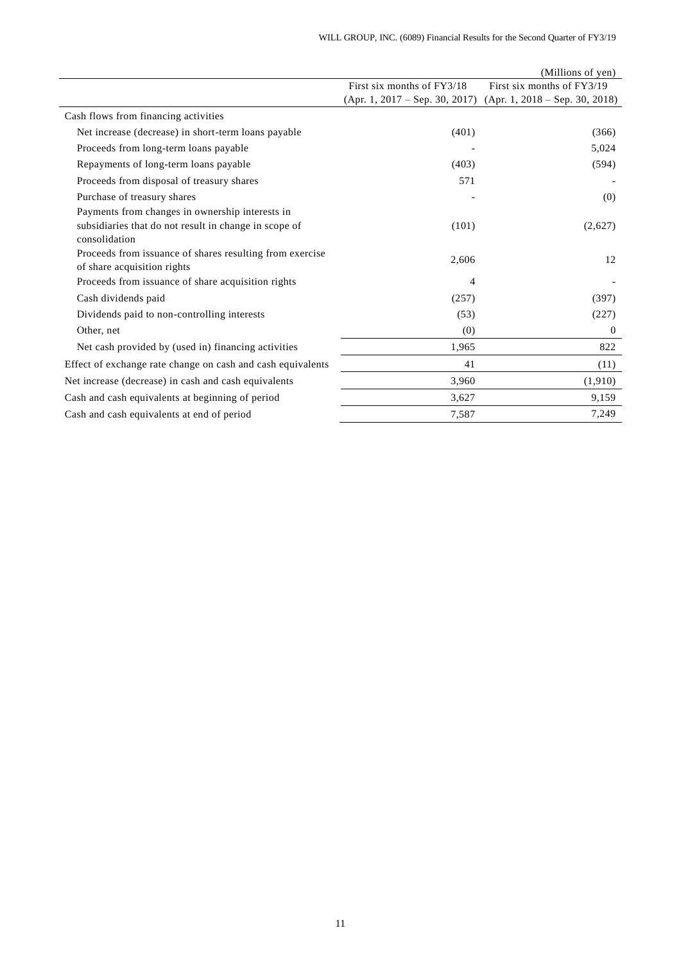|                                                                                                                           |                                  | (Millions of yen)                |
|---------------------------------------------------------------------------------------------------------------------------|----------------------------------|----------------------------------|
|                                                                                                                           | First six months of FY3/18       | First six months of FY3/19       |
|                                                                                                                           | $(Apr. 1, 2017 - Sep. 30, 2017)$ | $(Apr. 1, 2018 - Sep. 30, 2018)$ |
| Cash flows from financing activities                                                                                      |                                  |                                  |
| Net increase (decrease) in short-term loans payable                                                                       | (401)                            | (366)                            |
| Proceeds from long-term loans payable                                                                                     |                                  | 5,024                            |
| Repayments of long-term loans payable                                                                                     | (403)                            | (594)                            |
| Proceeds from disposal of treasury shares                                                                                 | 571                              |                                  |
| Purchase of treasury shares                                                                                               |                                  | (0)                              |
| Payments from changes in ownership interests in<br>subsidiaries that do not result in change in scope of<br>consolidation | (101)                            | (2,627)                          |
| Proceeds from issuance of shares resulting from exercise<br>of share acquisition rights                                   | 2,606                            | 12                               |
| Proceeds from issuance of share acquisition rights                                                                        | 4                                |                                  |
| Cash dividends paid                                                                                                       | (257)                            | (397)                            |
| Dividends paid to non-controlling interests                                                                               | (53)                             | (227)                            |
| Other, net                                                                                                                | (0)                              | $\theta$                         |
| Net cash provided by (used in) financing activities                                                                       | 1,965                            | 822                              |
| Effect of exchange rate change on cash and cash equivalents                                                               | 41                               | (11)                             |
| Net increase (decrease) in cash and cash equivalents                                                                      | 3,960                            | (1,910)                          |
| Cash and cash equivalents at beginning of period                                                                          | 3,627                            | 9,159                            |
| Cash and cash equivalents at end of period                                                                                | 7,587                            | 7,249                            |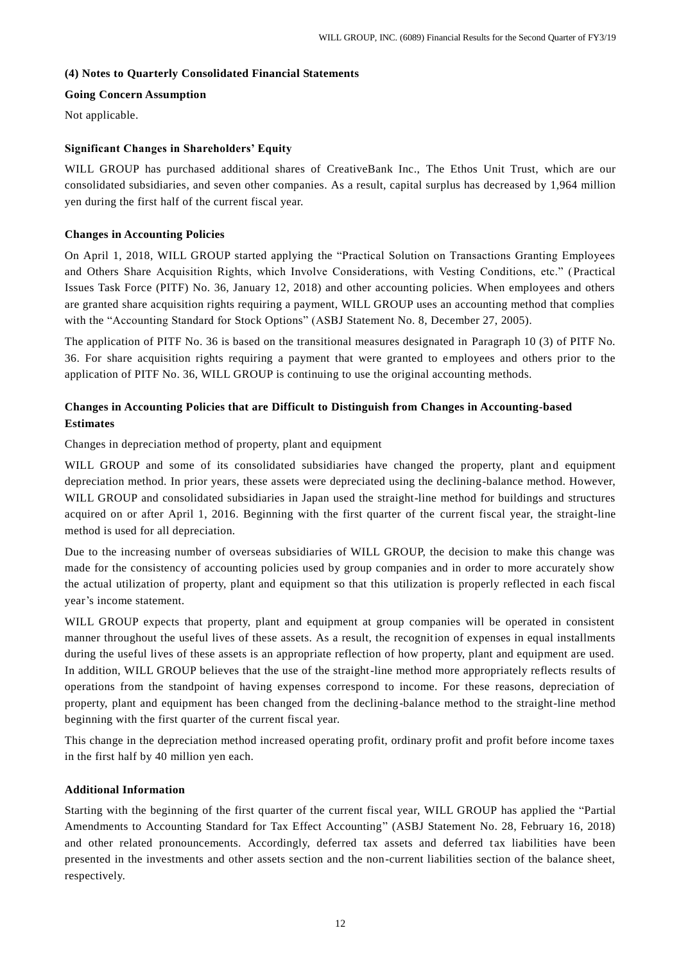## **(4) Notes to Quarterly Consolidated Financial Statements**

## **Going Concern Assumption**

Not applicable.

# **Significant Changes in Shareholders' Equity**

WILL GROUP has purchased additional shares of CreativeBank Inc., The Ethos Unit Trust, which are our consolidated subsidiaries, and seven other companies. As a result, capital surplus has decreased by 1,964 million yen during the first half of the current fiscal year.

## **Changes in Accounting Policies**

On April 1, 2018, WILL GROUP started applying the "Practical Solution on Transactions Granting Employees and Others Share Acquisition Rights, which Involve Considerations, with Vesting Conditions, etc." (Practical Issues Task Force (PITF) No. 36, January 12, 2018) and other accounting policies. When employees and others are granted share acquisition rights requiring a payment, WILL GROUP uses an accounting method that complies with the "Accounting Standard for Stock Options" (ASBJ Statement No. 8, December 27, 2005).

The application of PITF No. 36 is based on the transitional measures designated in Paragraph 10 (3) of PITF No. 36. For share acquisition rights requiring a payment that were granted to employees and others prior to the application of PITF No. 36, WILL GROUP is continuing to use the original accounting methods.

# **Changes in Accounting Policies that are Difficult to Distinguish from Changes in Accounting-based Estimates**

Changes in depreciation method of property, plant and equipment

WILL GROUP and some of its consolidated subsidiaries have changed the property, plant and equipment depreciation method. In prior years, these assets were depreciated using the declining-balance method. However, WILL GROUP and consolidated subsidiaries in Japan used the straight-line method for buildings and structures acquired on or after April 1, 2016. Beginning with the first quarter of the current fiscal year, the straight-line method is used for all depreciation.

Due to the increasing number of overseas subsidiaries of WILL GROUP, the decision to make this change was made for the consistency of accounting policies used by group companies and in order to more accurately show the actual utilization of property, plant and equipment so that this utilization is properly reflected in each fiscal year's income statement.

WILL GROUP expects that property, plant and equipment at group companies will be operated in consistent manner throughout the useful lives of these assets. As a result, the recognition of expenses in equal installments during the useful lives of these assets is an appropriate reflection of how property, plant and equipment are used. In addition, WILL GROUP believes that the use of the straight-line method more appropriately reflects results of operations from the standpoint of having expenses correspond to income. For these reasons, depreciation of property, plant and equipment has been changed from the declining-balance method to the straight-line method beginning with the first quarter of the current fiscal year.

This change in the depreciation method increased operating profit, ordinary profit and profit before income taxes in the first half by 40 million yen each.

## **Additional Information**

Starting with the beginning of the first quarter of the current fiscal year, WILL GROUP has applied the "Partial Amendments to Accounting Standard for Tax Effect Accounting" (ASBJ Statement No. 28, February 16, 2018) and other related pronouncements. Accordingly, deferred tax assets and deferred tax liabilities have been presented in the investments and other assets section and the non-current liabilities section of the balance sheet, respectively.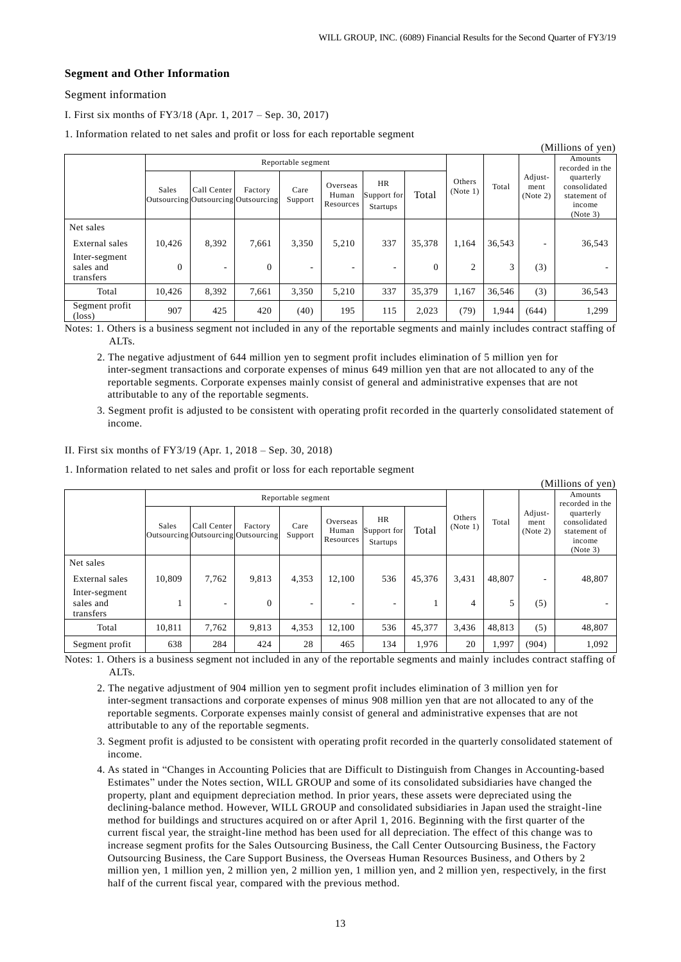## **Segment and Other Information**

Segment information

I. First six months of FY3/18 (Apr. 1, 2017 – Sep. 30, 2017)

1. Information related to net sales and profit or loss for each reportable segment

| (Millions of yen)                       |                    |                                                    |                |                 |                                |                                             |                |                    |        |                             |                                                                 |
|-----------------------------------------|--------------------|----------------------------------------------------|----------------|-----------------|--------------------------------|---------------------------------------------|----------------|--------------------|--------|-----------------------------|-----------------------------------------------------------------|
|                                         | Reportable segment |                                                    |                |                 |                                |                                             |                |                    |        |                             | Amounts<br>recorded in the                                      |
|                                         | Sales              | Call Center<br>Outsourcing Outsourcing Outsourcing | Factory        | Care<br>Support | Overseas<br>Human<br>Resources | <b>HR</b><br>Support for<br><b>Startups</b> | Total          | Others<br>(Note 1) | Total  | Adjust-<br>ment<br>(Note 2) | quarterly<br>consolidated<br>statement of<br>income<br>(Note 3) |
| Net sales                               |                    |                                                    |                |                 |                                |                                             |                |                    |        |                             |                                                                 |
| External sales                          | 10,426             | 8,392                                              | 7,661          | 3,350           | 5,210                          | 337                                         | 35,378         | 1,164              | 36,543 | ۰                           | 36,543                                                          |
| Inter-segment<br>sales and<br>transfers | $\Omega$           | ۰                                                  | $\overline{0}$ | ۰               | ۰                              |                                             | $\overline{0}$ | 2                  | 3      | (3)                         |                                                                 |
| Total                                   | 10.426             | 8,392                                              | 7,661          | 3,350           | 5,210                          | 337                                         | 35,379         | 1,167              | 36,546 | (3)                         | 36,543                                                          |
| Segment profit<br>$(\text{loss})$       | 907                | 425                                                | 420            | (40)            | 195                            | 115                                         | 2,023          | (79)               | 1,944  | (644)                       | 1,299                                                           |

Notes: 1. Others is a business segment not included in any of the reportable segments and mainly includes contract staffing of ALT<sub>s</sub>

2. The negative adjustment of 644 million yen to segment profit includes elimination of 5 million yen for inter-segment transactions and corporate expenses of minus 649 million yen that are not allocated to any of the reportable segments. Corporate expenses mainly consist of general and administrative expenses that are not attributable to any of the reportable segments.

3. Segment profit is adjusted to be consistent with operating profit recorded in the quarterly consolidated statement of income.

#### II. First six months of FY3/19 (Apr. 1, 2018 – Sep. 30, 2018)

1. Information related to net sales and profit or loss for each reportable segment

|                                         |                    |                                                    |              |                 |                                |                                |        |                    |        |                             | (Millions of yen)                                               |
|-----------------------------------------|--------------------|----------------------------------------------------|--------------|-----------------|--------------------------------|--------------------------------|--------|--------------------|--------|-----------------------------|-----------------------------------------------------------------|
|                                         | Reportable segment |                                                    |              |                 |                                |                                |        |                    |        | Amounts<br>recorded in the  |                                                                 |
|                                         | Sales              | Call Center<br>Outsourcing Outsourcing Outsourcing | Factory      | Care<br>Support | Overseas<br>Human<br>Resources | HR.<br>Support for<br>Startups | Total  | Others<br>(Note 1) | Total  | Adjust-<br>ment<br>(Note 2) | quarterly<br>consolidated<br>statement of<br>income<br>(Note 3) |
| Net sales                               |                    |                                                    |              |                 |                                |                                |        |                    |        |                             |                                                                 |
| External sales                          | 10.809             | 7.762                                              | 9.813        | 4,353           | 12.100                         | 536                            | 45,376 | 3,431              | 48,807 | ۰                           | 48,807                                                          |
| Inter-segment<br>sales and<br>transfers |                    | ۰                                                  | $\mathbf{0}$ | -               |                                |                                |        | 4                  | 5      | (5)                         |                                                                 |
| Total                                   | 10,811             | 7,762                                              | 9,813        | 4,353           | 12,100                         | 536                            | 45,377 | 3,436              | 48,813 | (5)                         | 48,807                                                          |
| Segment profit                          | 638                | 284                                                | 424          | 28              | 465                            | 134                            | 1,976  | 20                 | 1,997  | (904)                       | 1,092                                                           |

Notes: 1. Others is a business segment not included in any of the reportable segments and mainly includes contract staffing of ALT<sub>s</sub>.

2. The negative adjustment of 904 million yen to segment profit includes elimination of 3 million yen for inter-segment transactions and corporate expenses of minus 908 million yen that are not allocated to any of the reportable segments. Corporate expenses mainly consist of general and administrative expenses that are not attributable to any of the reportable segments.

3. Segment profit is adjusted to be consistent with operating profit recorded in the quarterly consolidated statement of income.

4. As stated in "Changes in Accounting Policies that are Difficult to Distinguish from Changes in Accounting-based Estimates" under the Notes section, WILL GROUP and some of its consolidated subsidiaries have changed the property, plant and equipment depreciation method. In prior years, these assets were depreciated using the declining-balance method. However, WILL GROUP and consolidated subsidiaries in Japan used the straight-line method for buildings and structures acquired on or after April 1, 2016. Beginning with the first quarter of the current fiscal year, the straight-line method has been used for all depreciation. The effect of this change was to increase segment profits for the Sales Outsourcing Business, the Call Center Outsourcing Business, the Factory Outsourcing Business, the Care Support Business, the Overseas Human Resources Business, and Others by 2 million yen, 1 million yen, 2 million yen, 2 million yen, 1 million yen, and 2 million yen, respectively, in the first half of the current fiscal year, compared with the previous method.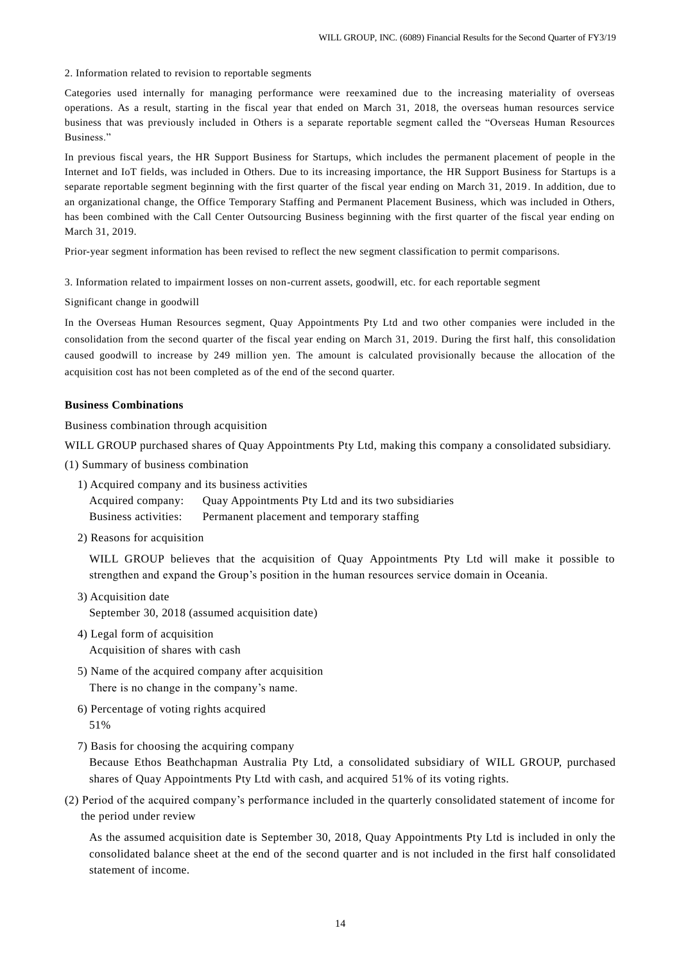2. Information related to revision to reportable segments

Categories used internally for managing performance were reexamined due to the increasing materiality of overseas operations. As a result, starting in the fiscal year that ended on March 31, 2018, the overseas human resources service business that was previously included in Others is a separate reportable segment called the "Overseas Human Resources Business."

In previous fiscal years, the HR Support Business for Startups, which includes the permanent placement of people in the Internet and IoT fields, was included in Others. Due to its increasing importance, the HR Support Business for Startups is a separate reportable segment beginning with the first quarter of the fiscal year ending on March 31, 2019 . In addition, due to an organizational change, the Office Temporary Staffing and Permanent Placement Business, which was included in Others, has been combined with the Call Center Outsourcing Business beginning with the first quarter of the fiscal year ending on March 31, 2019.

Prior-year segment information has been revised to reflect the new segment classification to permit comparisons.

3. Information related to impairment losses on non-current assets, goodwill, etc. for each reportable segment

Significant change in goodwill

In the Overseas Human Resources segment, Quay Appointments Pty Ltd and two other companies were included in the consolidation from the second quarter of the fiscal year ending on March 31, 2019. During the first half, this consolidation caused goodwill to increase by 249 million yen. The amount is calculated provisionally because the allocation of the acquisition cost has not been completed as of the end of the second quarter.

### **Business Combinations**

Business combination through acquisition

WILL GROUP purchased shares of Quay Appointments Pty Ltd, making this company a consolidated subsidiary.

(1) Summary of business combination

1) Acquired company and its business activities

Acquired company: Quay Appointments Pty Ltd and its two subsidiaries Business activities: Permanent placement and temporary staffing

2) Reasons for acquisition

WILL GROUP believes that the acquisition of Quay Appointments Pty Ltd will make it possible to strengthen and expand the Group's position in the human resources service domain in Oceania.

3) Acquisition date

September 30, 2018 (assumed acquisition date)

- 4) Legal form of acquisition Acquisition of shares with cash
- 5) Name of the acquired company after acquisition There is no change in the company's name.
- 6) Percentage of voting rights acquired 51%
- 7) Basis for choosing the acquiring company

Because Ethos Beathchapman Australia Pty Ltd, a consolidated subsidiary of WILL GROUP, purchased shares of Quay Appointments Pty Ltd with cash, and acquired 51% of its voting rights.

(2) Period of the acquired company's performance included in the quarterly consolidated statement of income for the period under review

As the assumed acquisition date is September 30, 2018, Quay Appointments Pty Ltd is included in only the consolidated balance sheet at the end of the second quarter and is not included in the first half consolidated statement of income.